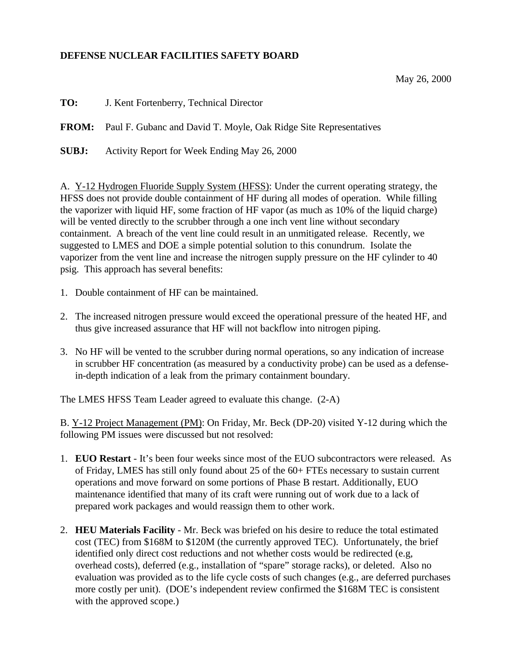## **DEFENSE NUCLEAR FACILITIES SAFETY BOARD**

May 26, 2000

**TO:** J. Kent Fortenberry, Technical Director

**FROM:** Paul F. Gubanc and David T. Moyle, Oak Ridge Site Representatives

**SUBJ:** Activity Report for Week Ending May 26, 2000

A. Y-12 Hydrogen Fluoride Supply System (HFSS): Under the current operating strategy, the HFSS does not provide double containment of HF during all modes of operation. While filling the vaporizer with liquid HF, some fraction of HF vapor (as much as 10% of the liquid charge) will be vented directly to the scrubber through a one inch vent line without secondary containment. A breach of the vent line could result in an unmitigated release. Recently, we suggested to LMES and DOE a simple potential solution to this conundrum. Isolate the vaporizer from the vent line and increase the nitrogen supply pressure on the HF cylinder to 40 psig. This approach has several benefits:

- 1. Double containment of HF can be maintained.
- 2. The increased nitrogen pressure would exceed the operational pressure of the heated HF, and thus give increased assurance that HF will not backflow into nitrogen piping.
- 3. No HF will be vented to the scrubber during normal operations, so any indication of increase in scrubber HF concentration (as measured by a conductivity probe) can be used as a defensein-depth indication of a leak from the primary containment boundary.

The LMES HFSS Team Leader agreed to evaluate this change. (2-A)

B. Y-12 Project Management (PM): On Friday, Mr. Beck (DP-20) visited Y-12 during which the following PM issues were discussed but not resolved:

- 1. **EUO Restart** It's been four weeks since most of the EUO subcontractors were released. As of Friday, LMES has still only found about 25 of the 60+ FTEs necessary to sustain current operations and move forward on some portions of Phase B restart. Additionally, EUO maintenance identified that many of its craft were running out of work due to a lack of prepared work packages and would reassign them to other work.
- 2. **HEU Materials Facility** Mr. Beck was briefed on his desire to reduce the total estimated cost (TEC) from \$168M to \$120M (the currently approved TEC). Unfortunately, the brief identified only direct cost reductions and not whether costs would be redirected (e.g, overhead costs), deferred (e.g., installation of "spare" storage racks), or deleted. Also no evaluation was provided as to the life cycle costs of such changes (e.g., are deferred purchases more costly per unit). (DOE's independent review confirmed the \$168M TEC is consistent with the approved scope.)